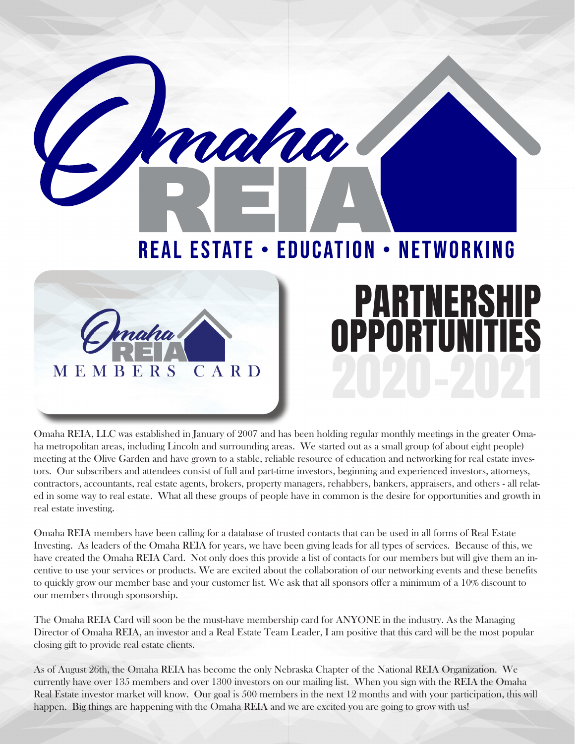**REAL ESTATE • EDUCATION • NETWORKING** 

rana

**PARTNERSHIP<br>PPORTUNITIES** 

OPPORTUNI



Omaha REIA, LLC was established in January of 2007 and has been holding regular monthly meetings in the greater Omaha metropolitan areas, including Lincoln and surrounding areas. We started out as a small group (of about eight people) meeting at the Olive Garden and have grown to a stable, reliable resource of education and networking for real estate investors. Our subscribers and attendees consist of full and part-time investors, beginning and experienced investors, attorneys, contractors, accountants, real estate agents, brokers, property managers, rehabbers, bankers, appraisers, and others - all related in some way to real estate. What all these groups of people have in common is the desire for opportunities and growth in real estate investing.

Omaha REIA members have been calling for a database of trusted contacts that can be used in all forms of Real Estate Investing. As leaders of the Omaha REIA for years, we have been giving leads for all types of services. Because of this, we have created the Omaha REIA Card. Not only does this provide a list of contacts for our members but will give them an incentive to use your services or products. We are excited about the collaboration of our networking events and these benefits to quickly grow our member base and your customer list. We ask that all sponsors offer a minimum of a 10% discount to our members through sponsorship.

The Omaha REIA Card will soon be the must-have membership card for ANYONE in the industry. As the Managing Director of Omaha REIA, an investor and a Real Estate Team Leader, I am positive that this card will be the most popular closing gift to provide real estate clients.

As of August 26th, the Omaha REIA has become the only Nebraska Chapter of the National REIA Organization. We currently have over 135 members and over 1300 investors on our mailing list. When you sign with the REIA the Omaha Real Estate investor market will know. Our goal is 500 members in the next 12 months and with your participation, this will happen. Big things are happening with the Omaha REIA and we are excited you are going to grow with us!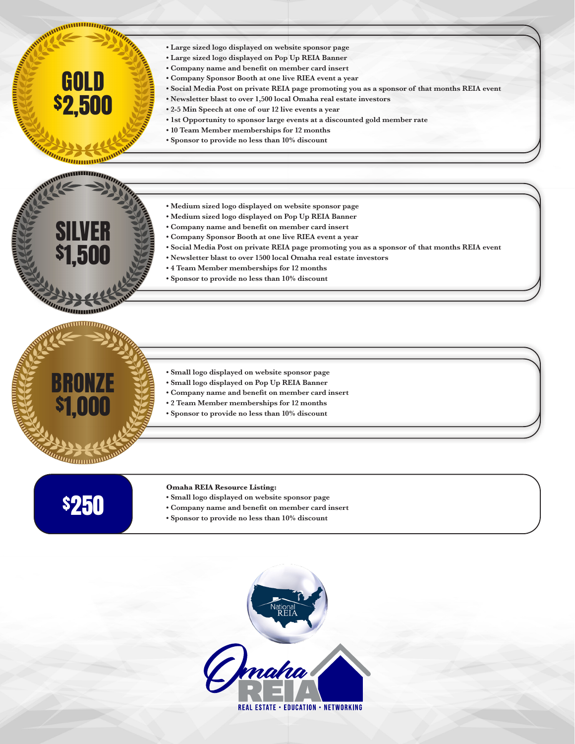- **Large sized logo displayed on website sponsor page**
- **Large sized logo displayed on Pop Up REIA Banner**
- **Company name and benefit on member card insert**
- **Company Sponsor Booth at one live RIEA event a year**
- **Social Media Post on private REIA page promoting you as a sponsor of that months REIA event**
- **Newsletter blast to over 1,500 local Omaha real estate investors**
- **2-5 Min Speech at one of our 12 live events a year**
- **1st Opportunity to sponsor large events at a discounted gold member rate**
- **10 Team Member memberships for 12 months**
- **Sponsor to provide no less than 10% discount**

## *IIIIIIIIIIIIIIIIII* ,,,,,,,,,,,,,,,,,,,,,,,,,,,,,,

GOLD

**MINIMUMINA** 

\$2,500

SILVER

\$1,500

- **Medium sized logo displayed on website sponsor page**
- **Medium sized logo displayed on Pop Up REIA Banner**
- **Company name and benefit on member card insert**
- **Company Sponsor Booth at one live RIEA event a year**
- **Social Media Post on private REIA page promoting you as a sponsor of that months REIA event**
- **Newsletter blast to over 1500 local Omaha real estate investors**
- **4 Team Member memberships for 12 months**
- **Sponsor to provide no less than 10% discount**



- **Small logo displayed on website sponsor page • Small logo displayed on Pop Up REIA Banner**
- **Company name and benefit on member card insert**
- **2 Team Member memberships for 12 months**
- **Sponsor to provide no less than 10% discount**

## \$250

## **Omaha REIA Resource Listing:**

- **Small logo displayed on website sponsor page**
- **Company name and benefit on member card insert**
- **Sponsor to provide no less than 10% discount**

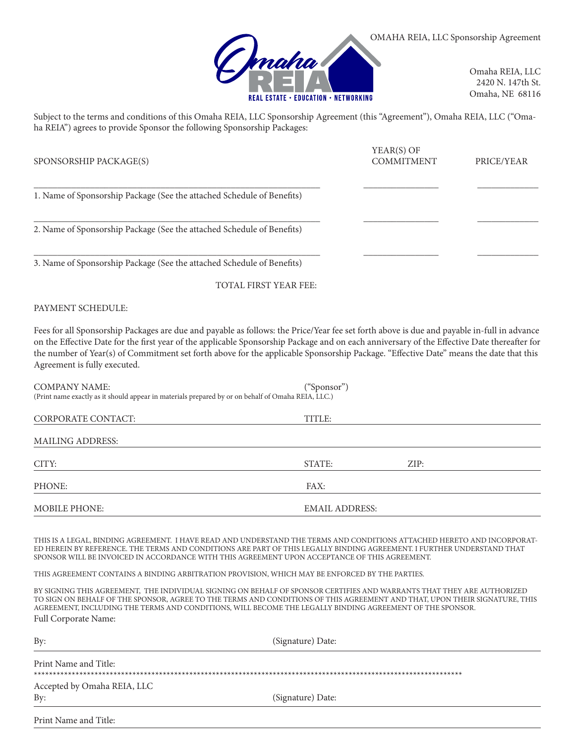

Omaha REIA, LLC 2420 N. 147th St. Omaha, NE 68116

Subject to the terms and conditions of this Omaha REIA, LLC Sponsorship Agreement (this "Agreement"), Omaha REIA, LLC ("Omaha REIA") agrees to provide Sponsor the following Sponsorship Packages:

| SPONSORSHIP PACKAGE(S)                                                 | YEAR(S) OF<br><b>COMMITMENT</b> | PRICE/YEAR |  |
|------------------------------------------------------------------------|---------------------------------|------------|--|
| 1. Name of Sponsorship Package (See the attached Schedule of Benefits) |                                 |            |  |
| 2. Name of Sponsorship Package (See the attached Schedule of Benefits) |                                 |            |  |
| 3. Name of Sponsorship Package (See the attached Schedule of Benefits) |                                 |            |  |

TOTAL FIRST YEAR FEE:

PAYMENT SCHEDULE:

Fees for all Sponsorship Packages are due and payable as follows: the Price/Year fee set forth above is due and payable in-full in advance on the Effective Date for the first year of the applicable Sponsorship Package and on each anniversary of the Effective Date thereafter for the number of Year(s) of Commitment set forth above for the applicable Sponsorship Package. "Effective Date" means the date that this Agreement is fully executed.

| COMPANY NAME:<br>(Print name exactly as it should appear in materials prepared by or on behalf of Omaha REIA, LLC.) | ("Sponsor")           |      |
|---------------------------------------------------------------------------------------------------------------------|-----------------------|------|
| CORPORATE CONTACT:                                                                                                  | TITLE:                |      |
| MAILING ADDRESS:                                                                                                    |                       |      |
| CITY:                                                                                                               | STATE:                | ZIP: |
| PHONE:                                                                                                              | FAX:                  |      |
| MOBILE PHONE:                                                                                                       | <b>EMAIL ADDRESS:</b> |      |

THIS IS A LEGAL, BINDING AGREEMENT. I HAVE READ AND UNDERSTAND THE TERMS AND CONDITIONS ATTACHED HERETO AND INCORPORAT-ED HEREIN BY REFERENCE. THE TERMS AND CONDITIONS ARE PART OF THIS LEGALLY BINDING AGREEMENT. I FURTHER UNDERSTAND THAT SPONSOR WILL BE INVOICED IN ACCORDANCE WITH THIS AGREEMENT UPON ACCEPTANCE OF THIS AGREEMENT.

THIS AGREEMENT CONTAINS A BINDING ARBITRATION PROVISION, WHICH MAY BE ENFORCED BY THE PARTIES.

BY SIGNING THIS AGREEMENT, THE INDIVIDUAL SIGNING ON BEHALF OF SPONSOR CERTIFIES AND WARRANTS THAT THEY ARE AUTHORIZED TO SIGN ON BEHALF OF THE SPONSOR, AGREE TO THE TERMS AND CONDITIONS OF THIS AGREEMENT AND THAT, UPON THEIR SIGNATURE, THIS AGREEMENT, INCLUDING THE TERMS AND CONDITIONS, WILL BECOME THE LEGALLY BINDING AGREEMENT OF THE SPONSOR. Full Corporate Name:

| By:                         | (Signature) Date: |
|-----------------------------|-------------------|
| Print Name and Title:       |                   |
| Accepted by Omaha REIA, LLC |                   |
| By:                         | (Signature) Date: |

Print Name and Title: